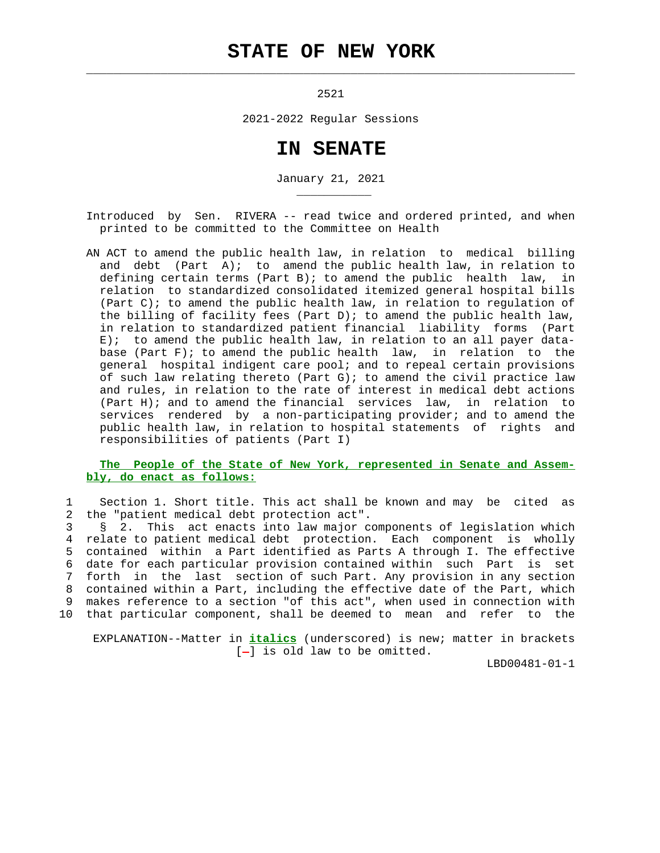# **STATE OF NEW YORK**

 $\mathcal{L}_\text{max} = \frac{1}{2} \sum_{i=1}^{n} \frac{1}{2} \sum_{i=1}^{n} \frac{1}{2} \sum_{i=1}^{n} \frac{1}{2} \sum_{i=1}^{n} \frac{1}{2} \sum_{i=1}^{n} \frac{1}{2} \sum_{i=1}^{n} \frac{1}{2} \sum_{i=1}^{n} \frac{1}{2} \sum_{i=1}^{n} \frac{1}{2} \sum_{i=1}^{n} \frac{1}{2} \sum_{i=1}^{n} \frac{1}{2} \sum_{i=1}^{n} \frac{1}{2} \sum_{i=1}^{n} \frac{1$ 

\_\_\_\_\_\_\_\_\_\_\_

2521

2021-2022 Regular Sessions

# **IN SENATE**

January 21, 2021

 Introduced by Sen. RIVERA -- read twice and ordered printed, and when printed to be committed to the Committee on Health

 AN ACT to amend the public health law, in relation to medical billing and debt (Part  $A$ ); to amend the public health law, in relation to defining certain terms (Part B); to amend the public health law, in relation to standardized consolidated itemized general hospital bills (Part C); to amend the public health law, in relation to regulation of the billing of facility fees (Part D); to amend the public health law, in relation to standardized patient financial liability forms (Part E); to amend the public health law, in relation to an all payer data base (Part F); to amend the public health law, in relation to the general hospital indigent care pool; and to repeal certain provisions of such law relating thereto (Part G); to amend the civil practice law and rules, in relation to the rate of interest in medical debt actions (Part H); and to amend the financial services law, in relation to services rendered by a non-participating provider; and to amend the public health law, in relation to hospital statements of rights and responsibilities of patients (Part I)

## **The People of the State of New York, represented in Senate and Assem bly, do enact as follows:**

 1 Section 1. Short title. This act shall be known and may be cited as 2 the "patient medical debt protection act".

 3 § 2. This act enacts into law major components of legislation which 4 relate to patient medical debt protection. Each component is wholly 5 contained within a Part identified as Parts A through I. The effective 6 date for each particular provision contained within such Part is set 7 forth in the last section of such Part. Any provision in any section 8 contained within a Part, including the effective date of the Part, which 9 makes reference to a section "of this act", when used in connection with 10 that particular component, shall be deemed to mean and refer to the

 EXPLANATION--Matter in **italics** (underscored) is new; matter in brackets  $[-]$  is old law to be omitted.

LBD00481-01-1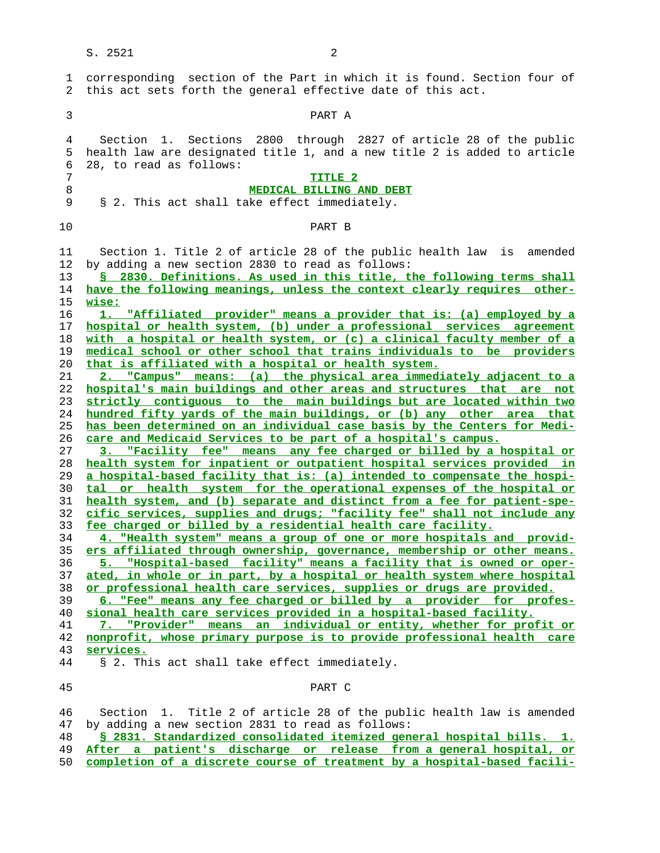| 1                                                                                      | corresponding section of the Part in which it is found. Section four of                                                                                                                                                                                                                                                                                                                                                                                                                                                                                                                                                                                                                                                                                                                                                                                                                                                                                                                                                           |
|----------------------------------------------------------------------------------------|-----------------------------------------------------------------------------------------------------------------------------------------------------------------------------------------------------------------------------------------------------------------------------------------------------------------------------------------------------------------------------------------------------------------------------------------------------------------------------------------------------------------------------------------------------------------------------------------------------------------------------------------------------------------------------------------------------------------------------------------------------------------------------------------------------------------------------------------------------------------------------------------------------------------------------------------------------------------------------------------------------------------------------------|
| 2                                                                                      | this act sets forth the general effective date of this act.                                                                                                                                                                                                                                                                                                                                                                                                                                                                                                                                                                                                                                                                                                                                                                                                                                                                                                                                                                       |
| 3                                                                                      | PART A                                                                                                                                                                                                                                                                                                                                                                                                                                                                                                                                                                                                                                                                                                                                                                                                                                                                                                                                                                                                                            |
| 4                                                                                      | Section 1. Sections 2800 through 2827 of article 28 of the public                                                                                                                                                                                                                                                                                                                                                                                                                                                                                                                                                                                                                                                                                                                                                                                                                                                                                                                                                                 |
| 5                                                                                      | health law are designated title 1, and a new title 2 is added to article                                                                                                                                                                                                                                                                                                                                                                                                                                                                                                                                                                                                                                                                                                                                                                                                                                                                                                                                                          |
| 6                                                                                      | 28, to read as follows:                                                                                                                                                                                                                                                                                                                                                                                                                                                                                                                                                                                                                                                                                                                                                                                                                                                                                                                                                                                                           |
| 7                                                                                      | TITLE <sub>2</sub>                                                                                                                                                                                                                                                                                                                                                                                                                                                                                                                                                                                                                                                                                                                                                                                                                                                                                                                                                                                                                |
| 8                                                                                      | <b>MEDICAL BILLING AND DEBT</b>                                                                                                                                                                                                                                                                                                                                                                                                                                                                                                                                                                                                                                                                                                                                                                                                                                                                                                                                                                                                   |
| 9                                                                                      | § 2. This act shall take effect immediately.                                                                                                                                                                                                                                                                                                                                                                                                                                                                                                                                                                                                                                                                                                                                                                                                                                                                                                                                                                                      |
| 10                                                                                     | PART B                                                                                                                                                                                                                                                                                                                                                                                                                                                                                                                                                                                                                                                                                                                                                                                                                                                                                                                                                                                                                            |
| 11<br>12<br>13<br>14<br>15<br>16<br>17<br>18<br>19<br>20<br>21<br>22<br>23<br>24<br>25 | Section 1. Title 2 of article 28 of the public health law is<br>amended<br>by adding a new section 2830 to read as follows:<br>\$ 2830. Definitions. As used in this title, the following terms shall<br>have the following meanings, unless the context clearly requires other-<br>wise:<br>"Affiliated provider" means a provider that is: (a) employed by a<br>hospital or health system, (b) under a professional services agreement<br>with a hospital or health system, or (c) a clinical faculty member of a<br>medical school or other school that trains individuals to be providers<br>that is affiliated with a hospital or health system.<br>2. "Campus" means: (a) the physical area immediately adjacent to a<br>hospital's main buildings and other areas and structures that are not<br>strictly contiquous to the main buildings but are located within two<br>hundred fifty yards of the main buildings, or (b) any other area that<br>has been determined on an individual case basis by the Centers for Medi- |
| 26                                                                                     | care and Medicaid Services to be part of a hospital's campus.                                                                                                                                                                                                                                                                                                                                                                                                                                                                                                                                                                                                                                                                                                                                                                                                                                                                                                                                                                     |
| 27                                                                                     | 3. "Facility fee" means any fee charged or billed by a hospital or                                                                                                                                                                                                                                                                                                                                                                                                                                                                                                                                                                                                                                                                                                                                                                                                                                                                                                                                                                |
| 28                                                                                     | health system for inpatient or outpatient hospital services provided in                                                                                                                                                                                                                                                                                                                                                                                                                                                                                                                                                                                                                                                                                                                                                                                                                                                                                                                                                           |
| 29                                                                                     | a hospital-based facility that is: (a) intended to compensate the hospi-                                                                                                                                                                                                                                                                                                                                                                                                                                                                                                                                                                                                                                                                                                                                                                                                                                                                                                                                                          |
| 30                                                                                     | tal or health system for the operational expenses of the hospital or                                                                                                                                                                                                                                                                                                                                                                                                                                                                                                                                                                                                                                                                                                                                                                                                                                                                                                                                                              |
| 31                                                                                     | health system, and (b) separate and distinct from a fee for patient-spe-                                                                                                                                                                                                                                                                                                                                                                                                                                                                                                                                                                                                                                                                                                                                                                                                                                                                                                                                                          |
| 32                                                                                     | cific services, supplies and drugs; "facility fee" shall not include any                                                                                                                                                                                                                                                                                                                                                                                                                                                                                                                                                                                                                                                                                                                                                                                                                                                                                                                                                          |
| 33                                                                                     | fee charged or billed by a residential health care facility.                                                                                                                                                                                                                                                                                                                                                                                                                                                                                                                                                                                                                                                                                                                                                                                                                                                                                                                                                                      |
| 34                                                                                     | 4. "Health system" means a group of one or more hospitals and provid-                                                                                                                                                                                                                                                                                                                                                                                                                                                                                                                                                                                                                                                                                                                                                                                                                                                                                                                                                             |
| 35                                                                                     | ers affiliated through ownership, governance, membership or other means.                                                                                                                                                                                                                                                                                                                                                                                                                                                                                                                                                                                                                                                                                                                                                                                                                                                                                                                                                          |
| 36                                                                                     | 5. "Hospital-based facility" means a facility that is owned or oper-                                                                                                                                                                                                                                                                                                                                                                                                                                                                                                                                                                                                                                                                                                                                                                                                                                                                                                                                                              |
| 37                                                                                     | ated, in whole or in part, by a hospital or health system where hospital                                                                                                                                                                                                                                                                                                                                                                                                                                                                                                                                                                                                                                                                                                                                                                                                                                                                                                                                                          |
| 38                                                                                     | or professional health care services, supplies or drugs are provided.                                                                                                                                                                                                                                                                                                                                                                                                                                                                                                                                                                                                                                                                                                                                                                                                                                                                                                                                                             |
| 39                                                                                     | 6. "Fee" means any fee charged or billed by a provider for profes-                                                                                                                                                                                                                                                                                                                                                                                                                                                                                                                                                                                                                                                                                                                                                                                                                                                                                                                                                                |
| 40                                                                                     | sional health care services provided in a hospital-based facility.                                                                                                                                                                                                                                                                                                                                                                                                                                                                                                                                                                                                                                                                                                                                                                                                                                                                                                                                                                |
| 41                                                                                     | 7. "Provider" means an individual or entity, whether for profit or                                                                                                                                                                                                                                                                                                                                                                                                                                                                                                                                                                                                                                                                                                                                                                                                                                                                                                                                                                |
| 42                                                                                     | nonprofit, whose primary purpose is to provide professional health care                                                                                                                                                                                                                                                                                                                                                                                                                                                                                                                                                                                                                                                                                                                                                                                                                                                                                                                                                           |
| 43                                                                                     | services.                                                                                                                                                                                                                                                                                                                                                                                                                                                                                                                                                                                                                                                                                                                                                                                                                                                                                                                                                                                                                         |
| 44                                                                                     | § 2. This act shall take effect immediately.                                                                                                                                                                                                                                                                                                                                                                                                                                                                                                                                                                                                                                                                                                                                                                                                                                                                                                                                                                                      |
| 45                                                                                     | PART C                                                                                                                                                                                                                                                                                                                                                                                                                                                                                                                                                                                                                                                                                                                                                                                                                                                                                                                                                                                                                            |
| 46                                                                                     | Section 1. Title 2 of article 28 of the public health law is amended                                                                                                                                                                                                                                                                                                                                                                                                                                                                                                                                                                                                                                                                                                                                                                                                                                                                                                                                                              |
| 47                                                                                     | by adding a new section 2831 to read as follows:                                                                                                                                                                                                                                                                                                                                                                                                                                                                                                                                                                                                                                                                                                                                                                                                                                                                                                                                                                                  |

**§ 2831. Standardized consolidated itemized general hospital bills. 1.**

- **After a patient's discharge or release from a general hospital, or**
- **completion of a discrete course of treatment by a hospital-based facili-**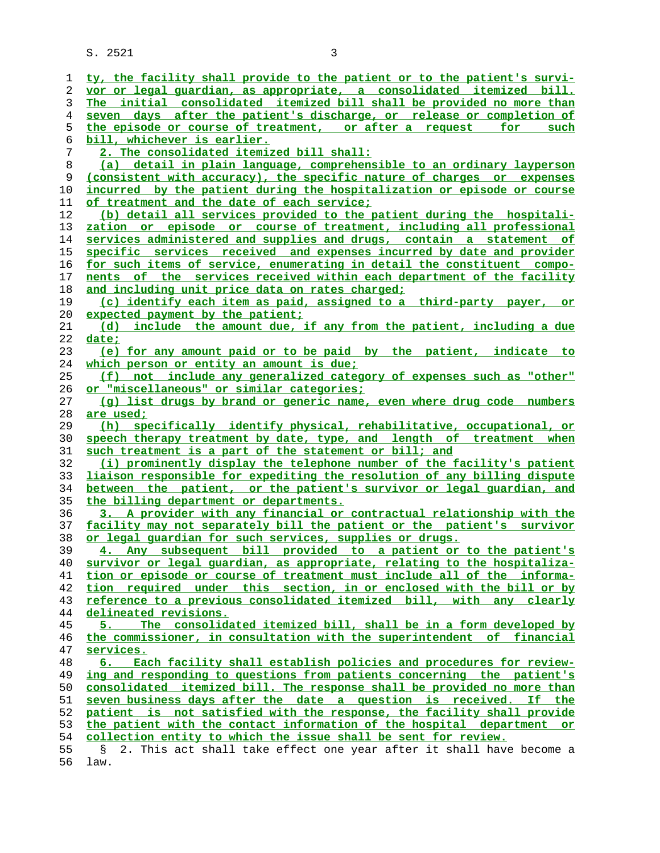| 1  | ty, the facility shall provide to the patient or to the patient's survi- |
|----|--------------------------------------------------------------------------|
| 2  | vor or legal quardian, as appropriate, a consolidated itemized bill.     |
| 3  | The initial consolidated itemized bill shall be provided no more than    |
| 4  | seven days after the patient's discharge, or release or completion of    |
| 5  | the episode or course of treatment, or after a request for such          |
| 6  | <u>bill, whichever is earlier.</u>                                       |
| 7  | 2. The consolidated itemized bill shall:                                 |
| 8  | (a) detail in plain language, comprehensible to an ordinary layperson    |
| 9  | (consistent with accuracy), the specific nature of charges or expenses   |
| 10 | incurred by the patient during the hospitalization or episode or course  |
| 11 | of treatment and the date of each service;                               |
| 12 | (b) detail all services provided to the patient during the hospitali-    |
| 13 | zation or episode or course of treatment, including all professional     |
| 14 | services administered and supplies and drugs, contain a statement of     |
| 15 | specific services received and expenses incurred by date and provider    |
| 16 | for such items of service, enumerating in detail the constituent compo-  |
| 17 | nents of the services received within each department of the facility    |
| 18 | and including unit price data on rates charged;                          |
| 19 | (c) identify each item as paid, assigned to a third-party payer, or      |
| 20 | expected payment by the patient;                                         |
| 21 | (d) include the amount due, if any from the patient, including a due     |
| 22 | date;                                                                    |
| 23 | (e) for any amount paid or to be paid by the patient, indicate to        |
| 24 | which person or entity an amount is due;                                 |
| 25 | (f) not include any generalized category of expenses such as "other"     |
| 26 | <u>or "miscellaneous" or similar categories;</u>                         |
| 27 | (q) list drugs by brand or generic name, even where drug code numbers    |
| 28 | are used;                                                                |
| 29 | (h) specifically identify physical, rehabilitative, occupational, or     |
| 30 | speech therapy treatment by date, type, and length of treatment when     |
| 31 | such treatment is a part of the statement or bill; and                   |
| 32 | (i) prominently display the telephone number of the facility's patient   |
| 33 | liaison responsible for expediting the resolution of any billing dispute |
| 34 | between the patient, or the patient's survivor or legal quardian, and    |
| 35 | the billing department or departments.                                   |
| 36 | 3. A provider with any financial or contractual relationship with the    |
| 37 | facility may not separately bill the patient or the patient's survivor   |
| 38 | or legal guardian for such services, supplies or drugs.                  |
| 39 | 4. Any subsequent bill provided to a patient or to the patient's         |
| 40 | survivor or legal guardian, as appropriate, relating to the hospitaliza- |
| 41 | tion or episode or course of treatment must include all of the informa-  |
| 42 | tion required under this section, in or enclosed with the bill or by     |
| 43 | reference to a previous consolidated itemized bill, with any clearly     |
| 44 | delineated revisions.                                                    |
| 45 | The consolidated itemized bill, shall be in a form developed by<br>5.    |
| 46 | the commissioner, in consultation with the superintendent of financial   |
| 47 | services.                                                                |
| 48 | Each facility shall establish policies and procedures for review-        |
| 49 | ing and responding to questions from patients concerning the patient's   |
| 50 | consolidated itemized bill. The response shall be provided no more than  |
| 51 | seven business days after the date a question is received. If the        |
| 52 | patient is not satisfied with the response, the facility shall provide   |
| 53 | the patient with the contact information of the hospital department or   |
| 54 | collection entity to which the issue shall be sent for review.           |
| 55 | 2. This act shall take effect one year after it shall have become a<br>S |
| 56 | law.                                                                     |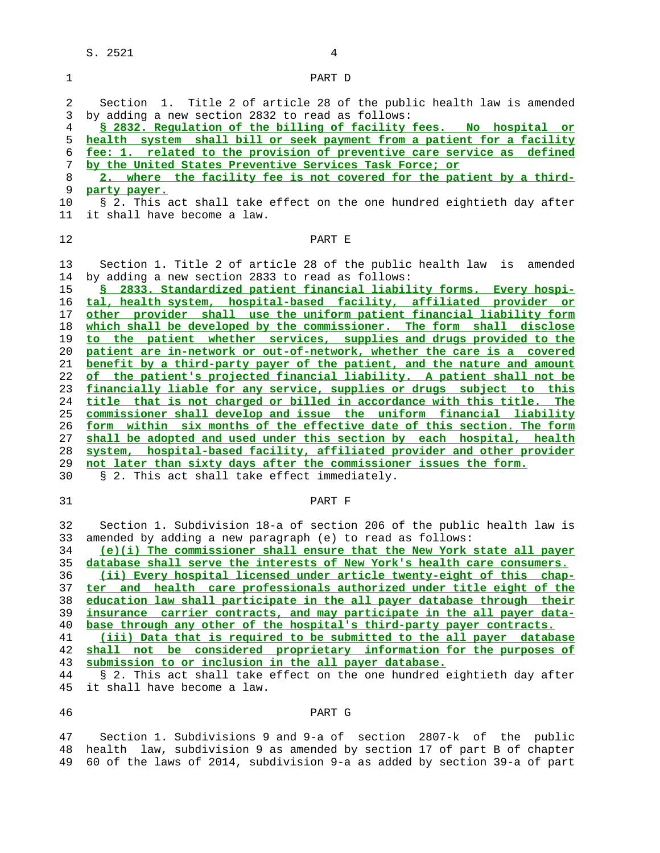1 PART D 2 Section 1. Title 2 of article 28 of the public health law is amended 3 by adding a new section 2832 to read as follows: **§ 2832. Regulation of the billing of facility fees. No hospital or health system shall bill or seek payment from a patient for a facility fee: 1. related to the provision of preventive care service as defined by the United States Preventive Services Task Force; or 2. where the facility fee is not covered for the patient by a third- party payer.** 10 § 2. This act shall take effect on the one hundred eightieth day after 11 it shall have become a law. **PART E**  13 Section 1. Title 2 of article 28 of the public health law is amended 14 by adding a new section 2833 to read as follows: **§ 2833. Standardized patient financial liability forms. Every hospi- tal, health system, hospital-based facility, affiliated provider or other provider shall use the uniform patient financial liability form which shall be developed by the commissioner. The form shall disclose to the patient whether services, supplies and drugs provided to the patient are in-network or out-of-network, whether the care is a covered benefit by a third-party payer of the patient, and the nature and amount of the patient's projected financial liability. A patient shall not be financially liable for any service, supplies or drugs subject to this title that is not charged or billed in accordance with this title. The commissioner shall develop and issue the uniform financial liability form within six months of the effective date of this section. The form shall be adopted and used under this section by each hospital, health system, hospital-based facility, affiliated provider and other provider not later than sixty days after the commissioner issues the form.** 30 § 2. This act shall take effect immediately. 31 PART F 32 Section 1. Subdivision 18-a of section 206 of the public health law is 33 amended by adding a new paragraph (e) to read as follows: **(e)(i) The commissioner shall ensure that the New York state all payer database shall serve the interests of New York's health care consumers. (ii) Every hospital licensed under article twenty-eight of this chap- ter and health care professionals authorized under title eight of the education law shall participate in the all payer database through their insurance carrier contracts, and may participate in the all payer data- base through any other of the hospital's third-party payer contracts. (iii) Data that is required to be submitted to the all payer database shall not be considered proprietary information for the purposes of submission to or inclusion in the all payer database.** 44 § 2. This act shall take effect on the one hundred eightieth day after

45 it shall have become a law.

### 46 PART G

 47 Section 1. Subdivisions 9 and 9-a of section 2807-k of the public 48 health law, subdivision 9 as amended by section 17 of part B of chapter 49 60 of the laws of 2014, subdivision 9-a as added by section 39-a of part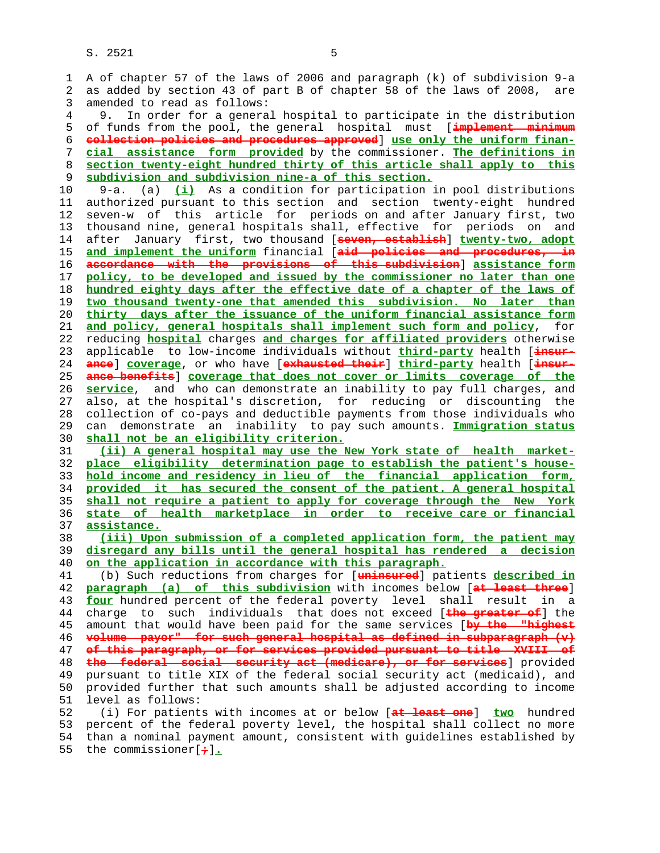1 A of chapter 57 of the laws of 2006 and paragraph (k) of subdivision 9-a 2 as added by section 43 of part B of chapter 58 of the laws of 2008, are 3 amended to read as follows: 4 9. In order for a general hospital to participate in the distribution 5 of funds from the pool, the general hospital must [**implement minimum** 6 **collection policies and procedures approved**] **use only the uniform finan-** 7 **cial assistance form provided** by the commissioner. **The definitions in** 8 **section twenty-eight hundred thirty of this article shall apply to this** subdivision and subdivision nine-a of this section. 10 9-a. (a) **(i)** As a condition for participation in pool distributions 11 authorized pursuant to this section and section twenty-eight hundred 12 seven-w of this article for periods on and after January first, two 13 thousand nine, general hospitals shall, effective for periods on and 14 after January first, two thousand [**seven, establish**] **twenty-two, adopt** 15 **and implement the uniform** financial [**aid policies and procedures, in** 16 **accordance with the provisions of this subdivision**] **assistance form** 17 **policy, to be developed and issued by the commissioner no later than one** 18 **hundred eighty days after the effective date of a chapter of the laws of** 19 **two thousand twenty-one that amended this subdivision. No later than** 20 **thirty days after the issuance of the uniform financial assistance form** 21 **and policy, general hospitals shall implement such form and policy**, for 22 reducing **hospital** charges **and charges for affiliated providers** otherwise 23 applicable to low-income individuals without **third-party** health [**insur-** 24 **ance**] **coverage**, or who have [**exhausted their**] **third-party** health [**insur-** 25 **ance benefits**] **coverage that does not cover or limits coverage of the** 26 **service**, and who can demonstrate an inability to pay full charges, and 27 also, at the hospital's discretion, for reducing or discounting the 28 collection of co-pays and deductible payments from those individuals who 29 can demonstrate an inability to pay such amounts. **Immigration status** 30 **shall not be an eligibility criterion.** 31 **(ii) A general hospital may use the New York state of health market-** 32 **place eligibility determination page to establish the patient's house-** 33 **hold income and residency in lieu of the financial application form,** 34 **provided it has secured the consent of the patient. A general hospital** 35 **shall not require a patient to apply for coverage through the New York** 36 **state of health marketplace in order to receive care or financial** 37 **assistance.** 38 **(iii) Upon submission of a completed application form, the patient may** 39 **disregard any bills until the general hospital has rendered a decision** 40 **on the application in accordance with this paragraph.** 41 (b) Such reductions from charges for [**uninsured**] patients **described in** 42 **paragraph (a) of this subdivision** with incomes below [**at least three**] 43 **four** hundred percent of the federal poverty level shall result in a 44 charge to such individuals that does not exceed [**the greater of**] the 45 amount that would have been paid for the same services [**by the "highest** 46 **volume payor" for such general hospital as defined in subparagraph (v)** 47 **of this paragraph, or for services provided pursuant to title XVIII of** 48 **the federal social security act (medicare), or for services**] provided 49 pursuant to title XIX of the federal social security act (medicaid), and 50 provided further that such amounts shall be adjusted according to income 51 level as follows: 52 (i) For patients with incomes at or below [**at least one**] **two** hundred 53 percent of the federal poverty level, the hospital shall collect no more 54 than a nominal payment amount, consistent with guidelines established by

55 the commissioner[**;**]**.**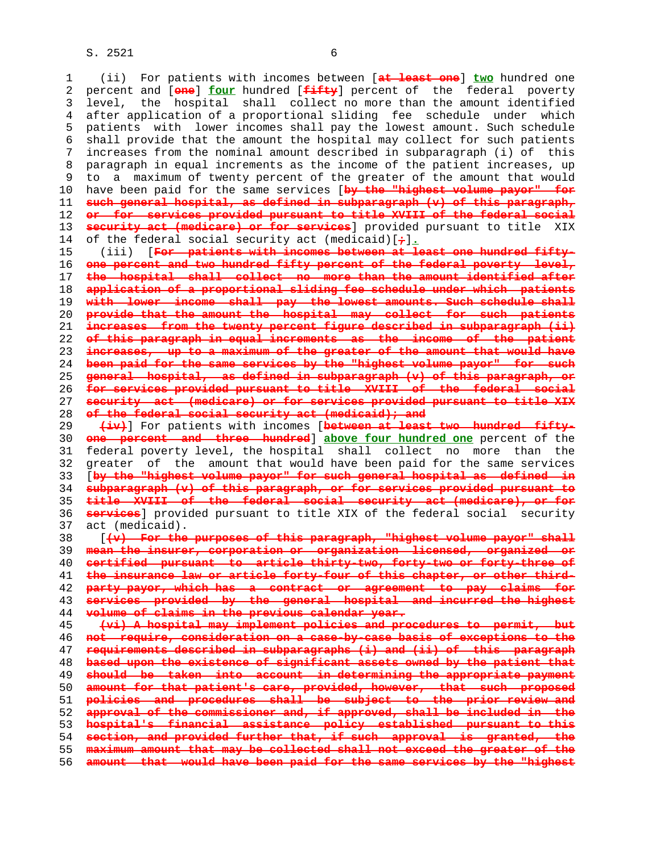1 (ii) For patients with incomes between [**at least one**] **two** hundred one 2 percent and [**one**] **four** hundred [**fifty**] percent of the federal poverty 3 level, the hospital shall collect no more than the amount identified 4 after application of a proportional sliding fee schedule under which 5 patients with lower incomes shall pay the lowest amount. Such schedule 6 shall provide that the amount the hospital may collect for such patients 7 increases from the nominal amount described in subparagraph (i) of this 8 paragraph in equal increments as the income of the patient increases, up 9 to a maximum of twenty percent of the greater of the amount that would 10 have been paid for the same services [**by the "highest volume payor" for such general hospital, as defined in subparagraph (v) of this paragraph, or for services provided pursuant to title XVIII of the federal social security act (medicare) or for services**] provided pursuant to title XIX 14 of the federal social security act (medicaid)[**;**]**.** 15 (iii) [**For patients with incomes between at least one hundred fifty- one percent and two hundred fifty percent of the federal poverty level, the hospital shall collect no more than the amount identified after application of a proportional sliding fee schedule under which patients with lower income shall pay the lowest amounts. Such schedule shall provide that the amount the hospital may collect for such patients increases from the twenty percent figure described in subparagraph (ii) of this paragraph in equal increments as the income of the patient increases, up to a maximum of the greater of the amount that would have been paid for the same services by the "highest volume payor" for such general hospital, as defined in subparagraph (v) of this paragraph, or for services provided pursuant to title XVIII of the federal social security act (medicare) or for services provided pursuant to title XIX of the federal social security act (medicaid); and (iv)**] For patients with incomes [**between at least two hundred fifty- one percent and three hundred**] **above four hundred one** percent of the 31 federal poverty level, the hospital shall collect no more than the 32 greater of the amount that would have been paid for the same services 33 [**by the "highest volume payor" for such general hospital as defined in subparagraph (v) of this paragraph, or for services provided pursuant to title XVIII of the federal social security act (medicare), or for services**] provided pursuant to title XIX of the federal social security 37 act (medicaid).

 38 [**(v) For the purposes of this paragraph, "highest volume payor" shall mean the insurer, corporation or organization licensed, organized or certified pursuant to article thirty-two, forty-two or forty-three of the insurance law or article forty-four of this chapter, or other third- party payor, which has a contract or agreement to pay claims for services provided by the general hospital and incurred the highest volume of claims in the previous calendar year. (vi) A hospital may implement policies and procedures to permit, but not require, consideration on a case-by-case basis of exceptions to the requirements described in subparagraphs (i) and (ii) of this paragraph**

**based upon the existence of significant assets owned by the patient that should be taken into account in determining the appropriate payment amount for that patient's care, provided, however, that such proposed policies and procedures shall be subject to the prior review and approval of the commissioner and, if approved, shall be included in the hospital's financial assistance policy established pursuant to this section, and provided further that, if such approval is granted, the maximum amount that may be collected shall not exceed the greater of the**

**amount that would have been paid for the same services by the "highest**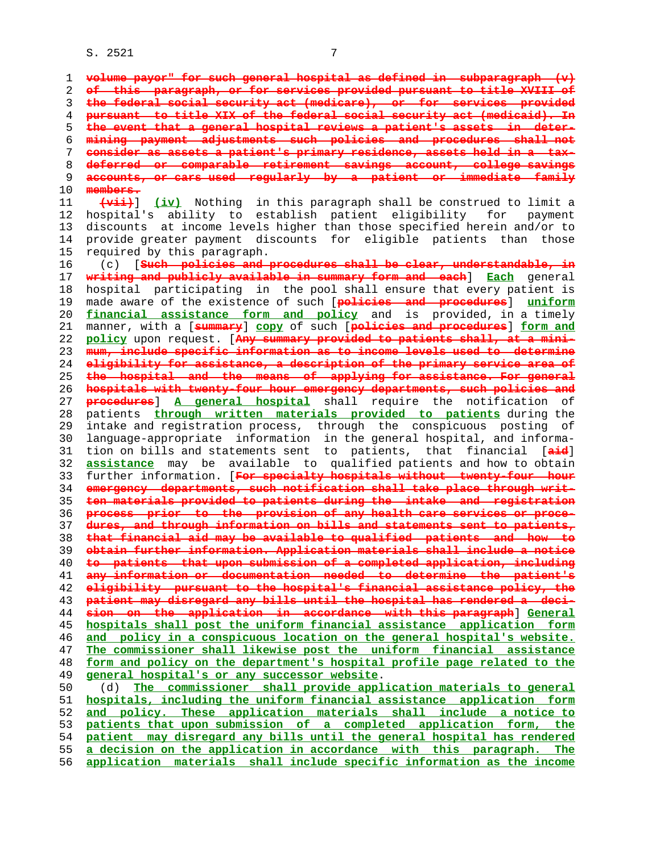**volume payor" for such general hospital as defined in subparagraph (v) of this paragraph, or for services provided pursuant to title XVIII of the federal social security act (medicare), or for services provided pursuant to title XIX of the federal social security act (medicaid). In the event that a general hospital reviews a patient's assets in deter- mining payment adjustments such policies and procedures shall not consider as assets a patient's primary residence, assets held in a tax- deferred or comparable retirement savings account, college savings accounts, or cars used regularly by a patient or immediate family members. (vii)**] **(iv)** Nothing in this paragraph shall be construed to limit a 12 hospital's ability to establish patient eligibility for payment 13 discounts at income levels higher than those specified herein and/or to 14 provide greater payment discounts for eligible patients than those 15 required by this paragraph. 16 (c) [**Such policies and procedures shall be clear, understandable, in writing and publicly available in summary form and each**] **Each** general 18 hospital participating in the pool shall ensure that every patient is 19 made aware of the existence of such [**policies and procedures**] **uniform financial assistance form and policy** and is provided, in a timely 21 manner, with a [**summary**] **copy** of such [**policies and procedures**] **form and policy** upon request. [**Any summary provided to patients shall, at a mini- mum, include specific information as to income levels used to determine eligibility for assistance, a description of the primary service area of the hospital and the means of applying for assistance. For general hospitals with twenty-four hour emergency departments, such policies and procedures**] **A general hospital** shall require the notification of 28 patients **through written materials provided to patients** during the 29 intake and registration process, through the conspicuous posting of 30 language-appropriate information in the general hospital, and informa- 31 tion on bills and statements sent to patients, that financial [**aid**] **assistance** may be available to qualified patients and how to obtain 33 further information. [**For specialty hospitals without twenty-four hour emergency departments, such notification shall take place through writ- ten materials provided to patients during the intake and registration process prior to the provision of any health care services or proce- dures, and through information on bills and statements sent to patients, that financial aid may be available to qualified patients and how to obtain further information. Application materials shall include a notice to patients that upon submission of a completed application, including any information or documentation needed to determine the patient's eligibility pursuant to the hospital's financial assistance policy, the patient may disregard any bills until the hospital has rendered a deci- sion on the application in accordance with this paragraph**] **General hospitals shall post the uniform financial assistance application form and policy in a conspicuous location on the general hospital's website. The commissioner shall likewise post the uniform financial assistance form and policy on the department's hospital profile page related to the general hospital's or any successor website**. 50 (d) **The commissioner shall provide application materials to general hospitals, including the uniform financial assistance application form and policy. These application materials shall include a notice to patients that upon submission of a completed application form, the patient may disregard any bills until the general hospital has rendered a decision on the application in accordance with this paragraph. The application materials shall include specific information as the income**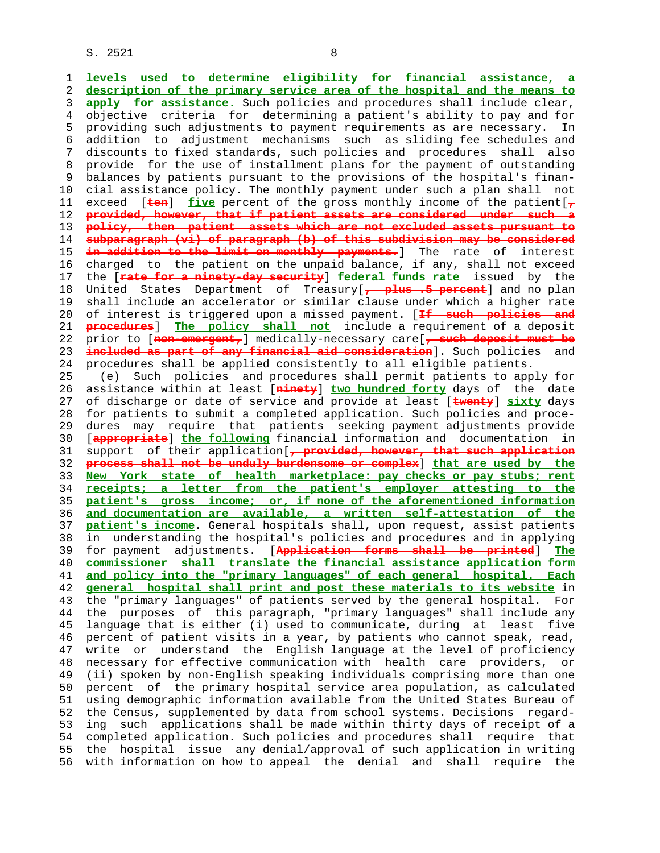1 **levels used to determine eligibility for financial assistance, a** 2 **description of the primary service area of the hospital and the means to** 3 **apply for assistance.** Such policies and procedures shall include clear, 4 objective criteria for determining a patient's ability to pay and for 5 providing such adjustments to payment requirements as are necessary. In 6 addition to adjustment mechanisms such as sliding fee schedules and 7 discounts to fixed standards, such policies and procedures shall also 8 provide for the use of installment plans for the payment of outstanding<br>9 balances by patients pursuant to the provisions of the hospital's finanbalances by patients pursuant to the provisions of the hospital's finan- 10 cial assistance policy. The monthly payment under such a plan shall not 11 exceed [**ten**] **five** percent of the gross monthly income of the patient[**,** 12 **provided, however, that if patient assets are considered under such a** 13 **policy, then patient assets which are not excluded assets pursuant to** 14 **subparagraph (vi) of paragraph (b) of this subdivision may be considered** 15 **in addition to the limit on monthly payments.**] The rate of interest 16 charged to the patient on the unpaid balance, if any, shall not exceed 17 the [**rate for a ninety-day security**] **federal funds rate** issued by the 18 United States Department of Treasury[**, plus .5 percent**] and no plan 19 shall include an accelerator or similar clause under which a higher rate 20 of interest is triggered upon a missed payment. [**If such policies and** 21 **procedures**] **The policy shall not** include a requirement of a deposit 22 prior to [**non-emergent,**] medically-necessary care[**, such deposit must be** 23 **included as part of any financial aid consideration**]. Such policies and 24 procedures shall be applied consistently to all eligible patients. 25 (e) Such policies and procedures shall permit patients to apply for 26 assistance within at least [**ninety**] **two hundred forty** days of the date 27 of discharge or date of service and provide at least [**twenty**] **sixty** days 28 for patients to submit a completed application. Such policies and proce- 29 dures may require that patients seeking payment adjustments provide 30 [**appropriate**] **the following** financial information and documentation in 31 support of their application[**, provided, however, that such application** 32 **process shall not be unduly burdensome or complex**] **that are used by the** 33 **New York state of health marketplace: pay checks or pay stubs; rent** 34 **receipts; a letter from the patient's employer attesting to the** 35 **patient's gross income; or, if none of the aforementioned information** 36 **and documentation are available, a written self-attestation of the** 37 **patient's income**. General hospitals shall, upon request, assist patients 38 in understanding the hospital's policies and procedures and in applying 39 for payment adjustments. [**Application forms shall be printed**] **The** 40 **commissioner shall translate the financial assistance application form** 41 **and policy into the "primary languages" of each general hospital. Each** 42 **general hospital shall print and post these materials to its website** in 43 the "primary languages" of patients served by the general hospital. For 44 the purposes of this paragraph, "primary languages" shall include any 45 language that is either (i) used to communicate, during at least five 46 percent of patient visits in a year, by patients who cannot speak, read, 47 write or understand the English language at the level of proficiency 48 necessary for effective communication with health care providers, or 49 (ii) spoken by non-English speaking individuals comprising more than one 50 percent of the primary hospital service area population, as calculated 51 using demographic information available from the United States Bureau of 52 the Census, supplemented by data from school systems. Decisions regard- 53 ing such applications shall be made within thirty days of receipt of a 54 completed application. Such policies and procedures shall require that 55 the hospital issue any denial/approval of such application in writing 56 with information on how to appeal the denial and shall require the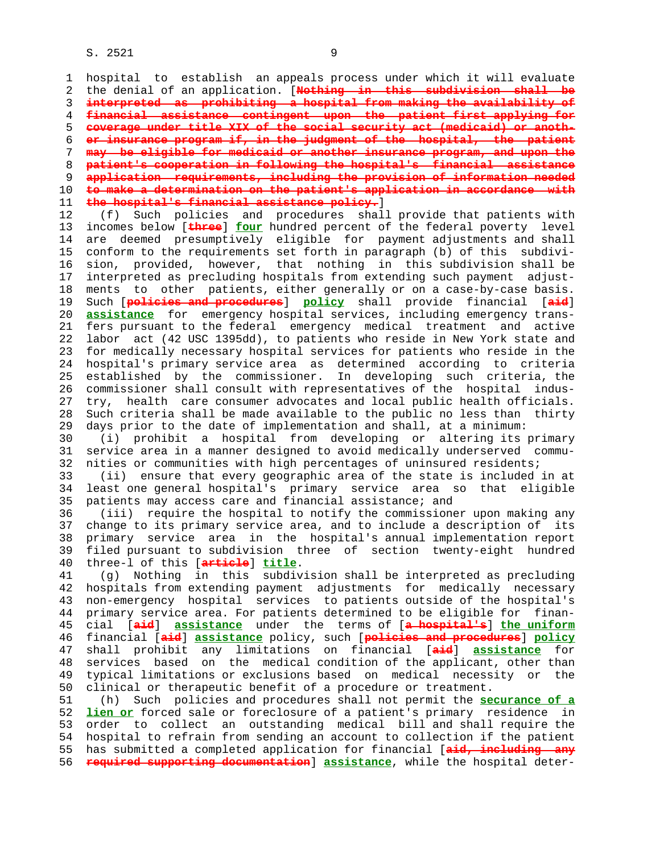| 1  | hospital to establish an appeals process under which it will evaluate       |
|----|-----------------------------------------------------------------------------|
| 2  | the denial of an application. [Nothing in this subdivision shall be         |
| 3  | interpreted as prohibiting a hospital from making the availability of       |
| 4  | financial assistance contingent upon the patient first applying for         |
| 5  | coverage under title XIX of the social security act (medicaid) or anoth-    |
| 6  | er insurance program if, in the judgment of the hospital, the patient       |
| 7  | may be eligible for medicaid or another insurance program, and upon the     |
| 8  | patient's cooperation in following the hospital's financial assistance      |
| 9  | application requirements, including the provision of information needed     |
| 10 | to make a determination on the patient's application in accordance with     |
| 11 | the hospital's financial assistance policy.                                 |
| 12 | Such policies and procedures shall provide that patients with<br>(f)        |
| 13 | incomes below [three] four hundred percent of the federal poverty level     |
| 14 | are deemed presumptively eligible for payment adjustments and shall         |
| 15 | conform to the requirements set forth in paragraph (b) of this<br>subdivi-  |
|    | sion, provided, however, that nothing in this subdivision shall be          |
| 16 |                                                                             |
| 17 | interpreted as precluding hospitals from extending such payment<br>adjust-  |
| 18 | ments to other patients, either generally or on a case-by-case basis.       |
| 19 | Such [policies and procedures] policy shall provide financial [aid]         |
| 20 | assistance for emergency hospital services, including emergency trans-      |
| 21 | fers pursuant to the federal emergency medical treatment and active         |
| 22 | labor act (42 USC 1395dd), to patients who reside in New York state and     |
| 23 | for medically necessary hospital services for patients who reside in the    |
| 24 | hospital's primary service area as determined according to criteria         |
| 25 | established by the commissioner. In developing such criteria, the           |
| 26 | commissioner shall consult with representatives of the hospital<br>indus-   |
| 27 | health care consumer advocates and local public health officials.<br>try,   |
| 28 | Such criteria shall be made available to the public no less than<br>thirty  |
| 29 | days prior to the date of implementation and shall, at a minimum:           |
| 30 | (i) prohibit a hospital from developing or altering its primary             |
| 31 | service area in a manner designed to avoid medically underserved commu-     |
| 32 | nities or communities with high percentages of uninsured residents;         |
| 33 | (ii) ensure that every geographic area of the state is included in at       |
| 34 | least one general hospital's primary service area so that eligible          |
| 35 | patients may access care and financial assistance; and                      |
| 36 | (iii) require the hospital to notify the commissioner upon making any       |
| 37 | change to its primary service area, and to include a description of<br>its  |
| 38 | primary service area in the hospital's annual implementation report         |
| 39 | filed pursuant to subdivision three of section twenty-eight hundred         |
| 40 | three-1 of this [article] title.                                            |
| 41 | (g) Nothing in this subdivision shall be interpreted as precluding          |
| 42 | hospitals from extending payment adjustments for medically necessary        |
| 43 | non-emergency hospital services to patients outside of the hospital's       |
| 44 | primary service area. For patients determined to be eligible for finan-     |
| 45 | cial [aid] assistance under the terms of [a hospital's] the uniform         |
| 46 | financial [aid] assistance policy, such [policies and procedures] policy    |
| 47 | shall prohibit any limitations on financial [aid] assistance for            |
| 48 | services based on the medical condition of the applicant, other than        |
| 49 | typical limitations or exclusions based on medical necessity or the         |
| 50 | clinical or therapeutic benefit of a procedure or treatment.                |
| 51 | (h) Such policies and procedures shall not permit the <b>securance of a</b> |
| 52 | lien or forced sale or foreclosure of a patient's primary residence in      |
| 53 | order to collect an outstanding medical bill and shall require the          |
| 54 | hospital to refrain from sending an account to collection if the patient    |
| 55 | has submitted a completed application for financial [aid, including any     |
| 56 | required supporting documentation] assistance, while the hospital deter-    |
|    |                                                                             |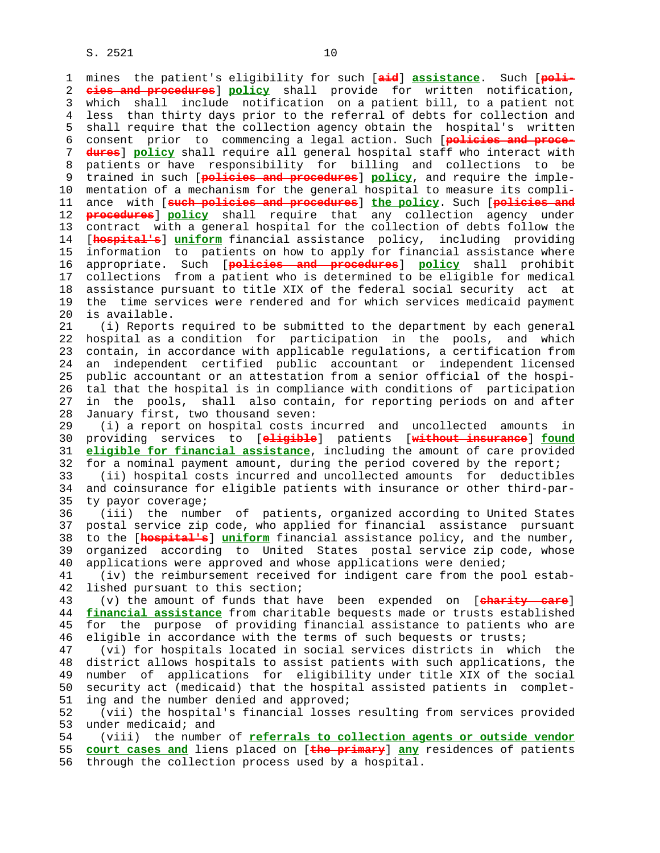1 mines the patient's eligibility for such [**aid**] **assistance**. Such [**poli-** 2 **cies and procedures**] **policy** shall provide for written notification, 3 which shall include notification on a patient bill, to a patient not 4 less than thirty days prior to the referral of debts for collection and 5 shall require that the collection agency obtain the hospital's written 6 consent prior to commencing a legal action. Such [**policies and proce-** 7 **dures**] **policy** shall require all general hospital staff who interact with 8 patients or have responsibility for billing and collections to be 9 trained in such [**policies and procedures**] **policy**, and require the imple- 10 mentation of a mechanism for the general hospital to measure its compli- 11 ance with [**such policies and procedures**] **the policy**. Such [**policies and** 12 **procedures**] **policy** shall require that any collection agency under 13 contract with a general hospital for the collection of debts follow the 14 [**hospital's**] **uniform** financial assistance policy, including providing 15 information to patients on how to apply for financial assistance where 16 appropriate. Such [**policies and procedures**] **policy** shall prohibit 17 collections from a patient who is determined to be eligible for medical 18 assistance pursuant to title XIX of the federal social security act at 19 the time services were rendered and for which services medicaid payment 20 is available. 21 (i) Reports required to be submitted to the department by each general 22 hospital as a condition for participation in the pools, and which 23 contain, in accordance with applicable regulations, a certification from 24 an independent certified public accountant or independent licensed 25 public accountant or an attestation from a senior official of the hospi- 26 tal that the hospital is in compliance with conditions of participation 27 in the pools, shall also contain, for reporting periods on and after 28 January first, two thousand seven: 29 (i) a report on hospital costs incurred and uncollected amounts in 30 providing services to [**eligible**] patients [**without insurance**] **found** 31 **eligible for financial assistance**, including the amount of care provided 32 for a nominal payment amount, during the period covered by the report; 33 (ii) hospital costs incurred and uncollected amounts for deductibles 34 and coinsurance for eligible patients with insurance or other third-par- 35 ty payor coverage; 36 (iii) the number of patients, organized according to United States 37 postal service zip code, who applied for financial assistance pursuant 38 to the [**hospital's**] **uniform** financial assistance policy, and the number, 39 organized according to United States postal service zip code, whose 40 applications were approved and whose applications were denied; 41 (iv) the reimbursement received for indigent care from the pool estab- 42 lished pursuant to this section; 43 (v) the amount of funds that have been expended on [**charity care**] 44 **financial assistance** from charitable bequests made or trusts established 45 for the purpose of providing financial assistance to patients who are 46 eligible in accordance with the terms of such bequests or trusts; 47 (vi) for hospitals located in social services districts in which the 48 district allows hospitals to assist patients with such applications, the 49 number of applications for eligibility under title XIX of the social 50 security act (medicaid) that the hospital assisted patients in complet- 51 ing and the number denied and approved; 52 (vii) the hospital's financial losses resulting from services provided 53 under medicaid; and 54 (viii) the number of **referrals to collection agents or outside vendor** 55 **court cases and** liens placed on [**the primary**] **any** residences of patients 56 through the collection process used by a hospital.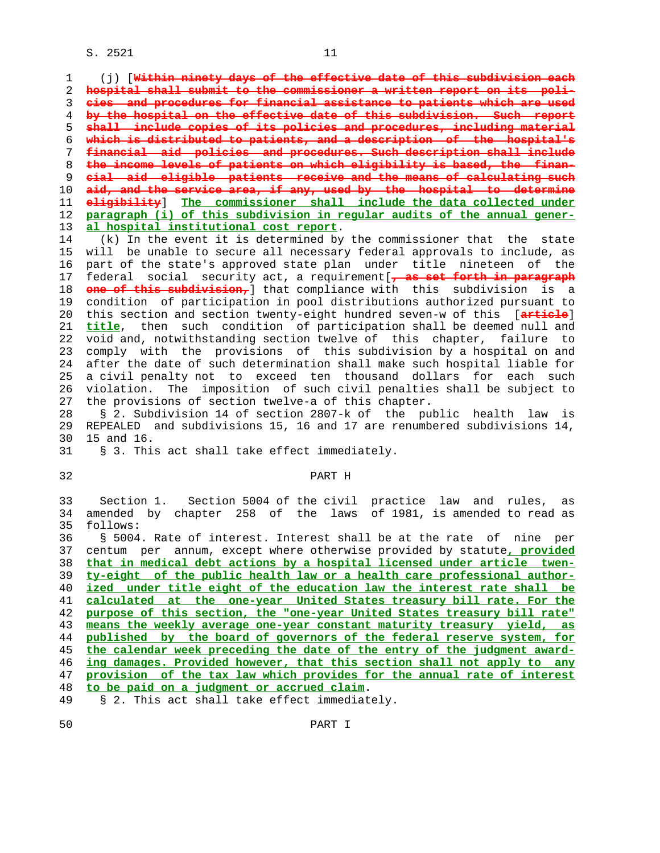1 (j) [**Within ninety days of the effective date of this subdivision each hospital shall submit to the commissioner a written report on its poli- cies and procedures for financial assistance to patients which are used by the hospital on the effective date of this subdivision. Such report shall include copies of its policies and procedures, including material which is distributed to patients, and a description of the hospital's financial aid policies and procedures. Such description shall include the income levels of patients on which eligibility is based, the finan- cial aid eligible patients receive and the means of calculating such aid, and the service area, if any, used by the hospital to determine eligibility**] **The commissioner shall include the data collected under paragraph (i) of this subdivision in regular audits of the annual gener- al hospital institutional cost report**.

 14 (k) In the event it is determined by the commissioner that the state 15 will be unable to secure all necessary federal approvals to include, as 16 part of the state's approved state plan under title nineteen of the 17 federal social security act, a requirement[**, as set forth in paragraph** 18 **one of this subdivision,**] that compliance with this subdivision is a 19 condition of participation in pool distributions authorized pursuant to 20 this section and section twenty-eight hundred seven-w of this [**article**] 21 **title**, then such condition of participation shall be deemed null and 22 void and, notwithstanding section twelve of this chapter, failure to 23 comply with the provisions of this subdivision by a hospital on and 24 after the date of such determination shall make such hospital liable for 25 a civil penalty not to exceed ten thousand dollars for each such 26 violation. The imposition of such civil penalties shall be subject to 27 the provisions of section twelve-a of this chapter.

 28 § 2. Subdivision 14 of section 2807-k of the public health law is 29 REPEALED and subdivisions 15, 16 and 17 are renumbered subdivisions 14, 30 15 and 16.

|  |  |  |  |  |  |  | § 3. This act shall take effect immediately. |
|--|--|--|--|--|--|--|----------------------------------------------|
|--|--|--|--|--|--|--|----------------------------------------------|

## 32 PART H

 33 Section 1. Section 5004 of the civil practice law and rules, as 34 amended by chapter 258 of the laws of 1981, is amended to read as 35 follows: 36 § 5004. Rate of interest. Interest shall be at the rate of nine per

 37 centum per annum, except where otherwise provided by statute**, provided that in medical debt actions by a hospital licensed under article twen- ty-eight of the public health law or a health care professional author- ized under title eight of the education law the interest rate shall be calculated at the one-year United States treasury bill rate. For the purpose of this section, the "one-year United States treasury bill rate" means the weekly average one-year constant maturity treasury yield, as published by the board of governors of the federal reserve system, for the calendar week preceding the date of the entry of the judgment award- ing damages. Provided however, that this section shall not apply to any provision of the tax law which provides for the annual rate of interest to be paid on a judgment or accrued claim**.

49 § 2. This act shall take effect immediately.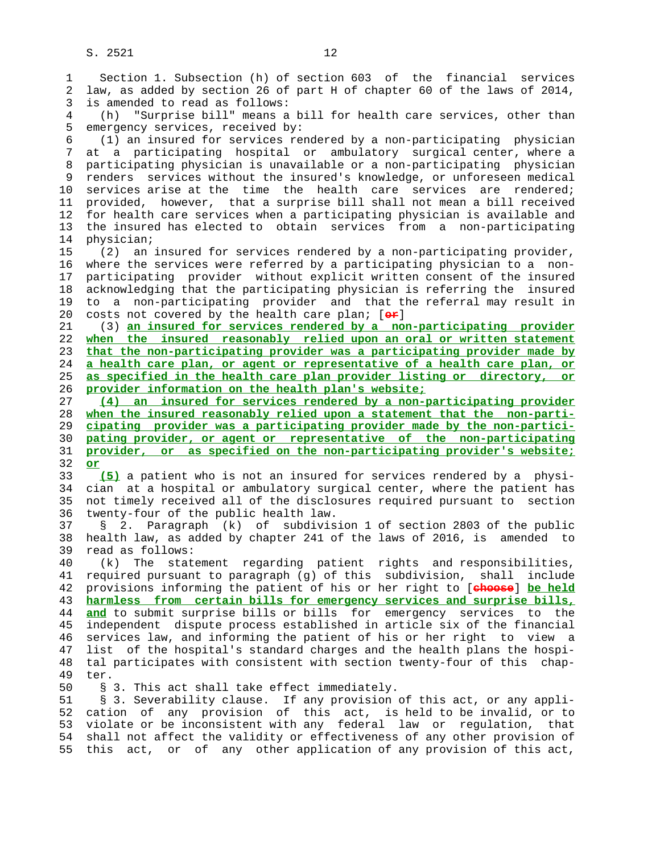1 Section 1. Subsection (h) of section 603 of the financial services 2 law, as added by section 26 of part H of chapter 60 of the laws of 2014, 3 is amended to read as follows:

 4 (h) "Surprise bill" means a bill for health care services, other than 5 emergency services, received by:

 6 (1) an insured for services rendered by a non-participating physician 7 at a participating hospital or ambulatory surgical center, where a 8 participating physician is unavailable or a non-participating physician 9 renders services without the insured's knowledge, or unforeseen medical 10 services arise at the time the health care services are rendered; 11 provided, however, that a surprise bill shall not mean a bill received 12 for health care services when a participating physician is available and 13 the insured has elected to obtain services from a non-participating 14 physician;

 15 (2) an insured for services rendered by a non-participating provider, 16 where the services were referred by a participating physician to a non- 17 participating provider without explicit written consent of the insured 18 acknowledging that the participating physician is referring the insured 19 to a non-participating provider and that the referral may result in 20 costs not covered by the health care plan; [**or**]

 21 (3) **an insured for services rendered by a non-participating provider when the insured reasonably relied upon an oral or written statement that the non-participating provider was a participating provider made by a health care plan, or agent or representative of a health care plan, or as specified in the health care plan provider listing or directory, or provider information on the health plan's website;**

**(4) an insured for services rendered by a non-participating provider when the insured reasonably relied upon a statement that the non-parti- cipating provider was a participating provider made by the non-partici- pating provider, or agent or representative of the non-participating provider, or as specified on the non-participating provider's website;** 32 **or**

 33 **(5)** a patient who is not an insured for services rendered by a physi- 34 cian at a hospital or ambulatory surgical center, where the patient has 35 not timely received all of the disclosures required pursuant to section 36 twenty-four of the public health law.

 37 § 2. Paragraph (k) of subdivision 1 of section 2803 of the public 38 health law, as added by chapter 241 of the laws of 2016, is amended to 39 read as follows:

 40 (k) The statement regarding patient rights and responsibilities, 41 required pursuant to paragraph (g) of this subdivision, shall include 42 provisions informing the patient of his or her right to [**choose**] **be held** 43 **harmless from certain bills for emergency services and surprise bills,** 44 **and** to submit surprise bills or bills for emergency services to the 45 independent dispute process established in article six of the financial 46 services law, and informing the patient of his or her right to view a 47 list of the hospital's standard charges and the health plans the hospi- 48 tal participates with consistent with section twenty-four of this chap- 49 ter.

50 § 3. This act shall take effect immediately.

 51 § 3. Severability clause. If any provision of this act, or any appli- 52 cation of any provision of this act, is held to be invalid, or to 53 violate or be inconsistent with any federal law or regulation, that 54 shall not affect the validity or effectiveness of any other provision of 55 this act, or of any other application of any provision of this act,